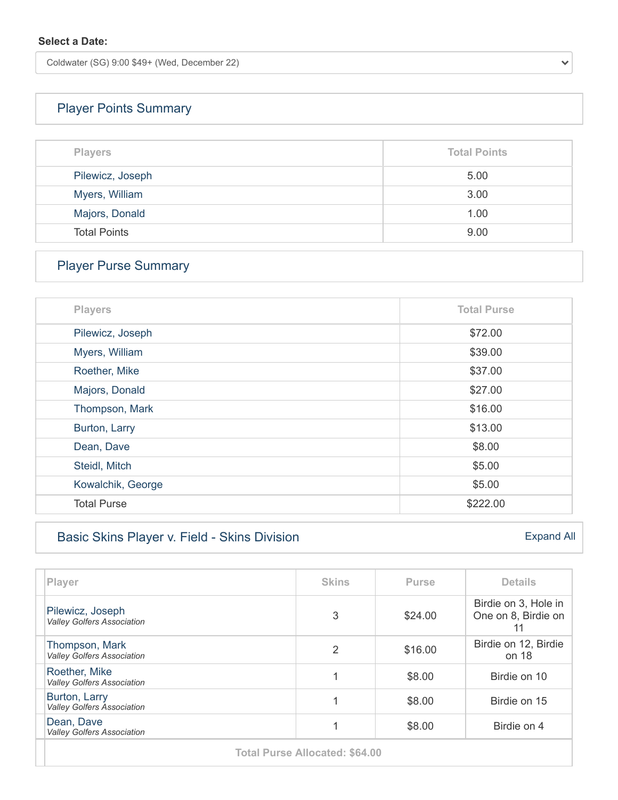Coldwater (SG) 9:00 \$49+ (Wed, December 22)

# [Player Points Summary](https://vga-valleygolfersassociation22.golfgenius.com/v2tournaments/total_points?league_id=7761555066980434265&round_id=7761582359752769816)

| <b>Players</b>      | <b>Total Points</b> |
|---------------------|---------------------|
| Pilewicz, Joseph    | 5.00                |
| Myers, William      | 3.00                |
| Majors, Donald      | 1.00                |
| <b>Total Points</b> | 9.00                |

# [Player Purse Summary](https://vga-valleygolfersassociation22.golfgenius.com/v2tournaments/total_purse?league_id=7761555066980434265&round_id=7761582359752769816)

| <b>Players</b>     | <b>Total Purse</b> |
|--------------------|--------------------|
| Pilewicz, Joseph   | \$72.00            |
| Myers, William     | \$39.00            |
| Roether, Mike      | \$37.00            |
| Majors, Donald     | \$27.00            |
| Thompson, Mark     | \$16.00            |
| Burton, Larry      | \$13.00            |
| Dean, Dave         | \$8.00             |
| Steidl, Mitch      | \$5.00             |
| Kowalchik, George  | \$5.00             |
| <b>Total Purse</b> | \$222.00           |

### [Basic Skins Player v. Field - Skins Division](https://vga-valleygolfersassociation22.golfgenius.com/v2tournaments/8021774440259944853?player_stats_for_portal=true&round_index=16)

| Player                                                | <b>Skins</b> | <b>Purse</b> | <b>Details</b>                                    |
|-------------------------------------------------------|--------------|--------------|---------------------------------------------------|
| Pilewicz, Joseph<br><b>Valley Golfers Association</b> | 3            | \$24.00      | Birdie on 3, Hole in<br>One on 8, Birdie on<br>11 |
| Thompson, Mark<br><b>Valley Golfers Association</b>   | 2            | \$16.00      | Birdie on 12, Birdie<br>on 18                     |
| Roether, Mike<br><b>Valley Golfers Association</b>    |              | \$8.00       | Birdie on 10                                      |
| Burton, Larry<br><b>Valley Golfers Association</b>    |              | \$8.00       | Birdie on 15                                      |
| Dean, Dave<br><b>Valley Golfers Association</b>       |              | \$8.00       | Birdie on 4                                       |
|                                                       |              |              |                                                   |

**Total Purse Allocated: \$64.00**

[Expand All](https://vga-valleygolfersassociation22.golfgenius.com/tournaments2/details?adjusting=false&event_id=8021774440259944853)

 $\checkmark$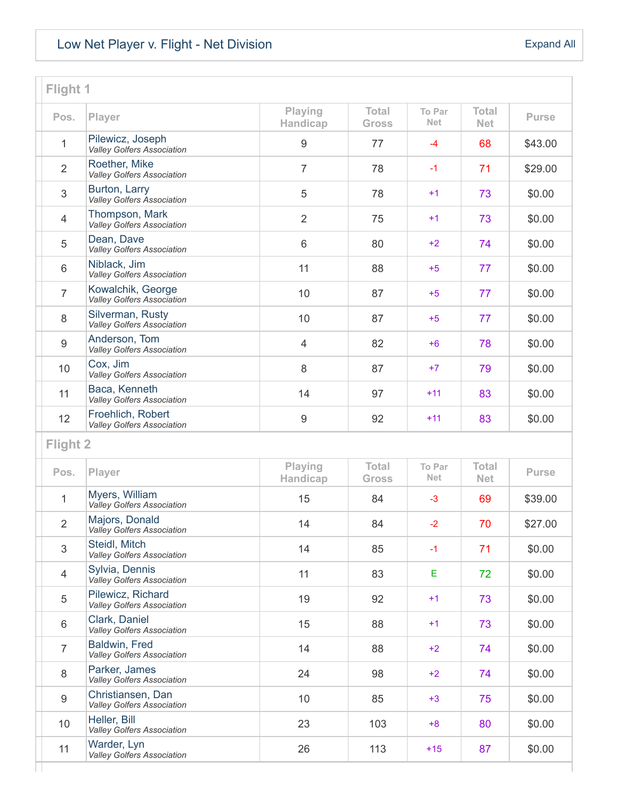# [Low Net Player v. Flight - Net Division](https://vga-valleygolfersassociation22.golfgenius.com/v2tournaments/8021774429455417748?player_stats_for_portal=true&round_index=16)

| Flight 1       |                                                        |                            |                              |                             |                            |              |
|----------------|--------------------------------------------------------|----------------------------|------------------------------|-----------------------------|----------------------------|--------------|
| Pos.           | Player                                                 | <b>Playing</b><br>Handicap | <b>Total</b><br><b>Gross</b> | <b>To Par</b><br><b>Net</b> | <b>Total</b><br><b>Net</b> | <b>Purse</b> |
| 1              | Pilewicz, Joseph<br><b>Valley Golfers Association</b>  | 9                          | 77                           | $-4$                        | 68                         | \$43.00      |
| $\overline{2}$ | Roether, Mike<br><b>Valley Golfers Association</b>     | $\overline{7}$             | 78                           | $-1$                        | 71                         | \$29.00      |
| 3              | Burton, Larry<br>Valley Golfers Association            | 5                          | 78                           | $+1$                        | 73                         | \$0.00       |
| $\overline{4}$ | Thompson, Mark<br><b>Valley Golfers Association</b>    | $\overline{2}$             | 75                           | $+1$                        | 73                         | \$0.00       |
| 5              | Dean, Dave<br><b>Valley Golfers Association</b>        | 6                          | 80                           | $+2$                        | 74                         | \$0.00       |
| $6\phantom{1}$ | Niblack, Jim<br><b>Valley Golfers Association</b>      | 11                         | 88                           | $+5$                        | 77                         | \$0.00       |
| $\overline{7}$ | Kowalchik, George<br><b>Valley Golfers Association</b> | 10                         | 87                           | $+5$                        | 77                         | \$0.00       |
| 8              | Silverman, Rusty<br>Valley Golfers Association         | 10                         | 87                           | $+5$                        | 77                         | \$0.00       |
| 9              | Anderson, Tom<br><b>Valley Golfers Association</b>     | $\overline{4}$             | 82                           | $+6$                        | 78                         | \$0.00       |
| 10             | Cox, Jim<br><b>Valley Golfers Association</b>          | 8                          | 87                           | $+7$                        | 79                         | \$0.00       |
| 11             | Baca, Kenneth<br><b>Valley Golfers Association</b>     | 14                         | 97                           | $+11$                       | 83                         | \$0.00       |
| 12             | Froehlich, Robert<br><b>Valley Golfers Association</b> | 9                          | 92                           | $+11$                       | 83                         | \$0.00       |
| Flight 2       |                                                        |                            |                              |                             |                            |              |
| Pos.           | Player                                                 | Playing<br>Handicap        | <b>Total</b><br><b>Gross</b> | <b>To Par</b><br>Net.       | <b>Total</b><br><b>Net</b> | <b>Purse</b> |
| 1              | Myers, William<br>Valley Golfers Association           | 15                         | 84                           | $-3$                        | 69                         | \$39.00      |
| 2              | Majors, Donald<br>Valley Golfers Association           | 14                         | 84                           | $-2$                        | 70                         | \$27.00      |
| 3              | Steidl, Mitch<br><b>Valley Golfers Association</b>     | 14                         | 85                           | $-1$                        | 71                         | \$0.00       |
| $\overline{4}$ | Sylvia, Dennis<br>Valley Golfers Association           | 11                         | 83                           | Е                           | 72                         | \$0.00       |
| 5              | Pilewicz, Richard<br><b>Valley Golfers Association</b> | 19                         | 92                           | $+1$                        | 73                         | \$0.00       |
| 6              | Clark, Daniel<br>Valley Golfers Association            | 15                         | 88                           | $+1$                        | 73                         | \$0.00       |
| $\overline{7}$ | Baldwin, Fred<br>Valley Golfers Association            | 14                         | 88                           | $+2$                        | 74                         | \$0.00       |
| 8              | Parker, James<br><b>Valley Golfers Association</b>     | 24                         | 98                           | $+2$                        | 74                         | \$0.00       |
| 9              | Christiansen, Dan<br>Valley Golfers Association        | 10                         | 85                           | $+3$                        | 75                         | \$0.00       |
| 10             | Heller, Bill<br><b>Valley Golfers Association</b>      | 23                         | 103                          | $+8$                        | 80                         | \$0.00       |
| 11             | Warder, Lyn<br>Valley Golfers Association              | 26                         | 113                          | $+15$                       | 87                         | \$0.00       |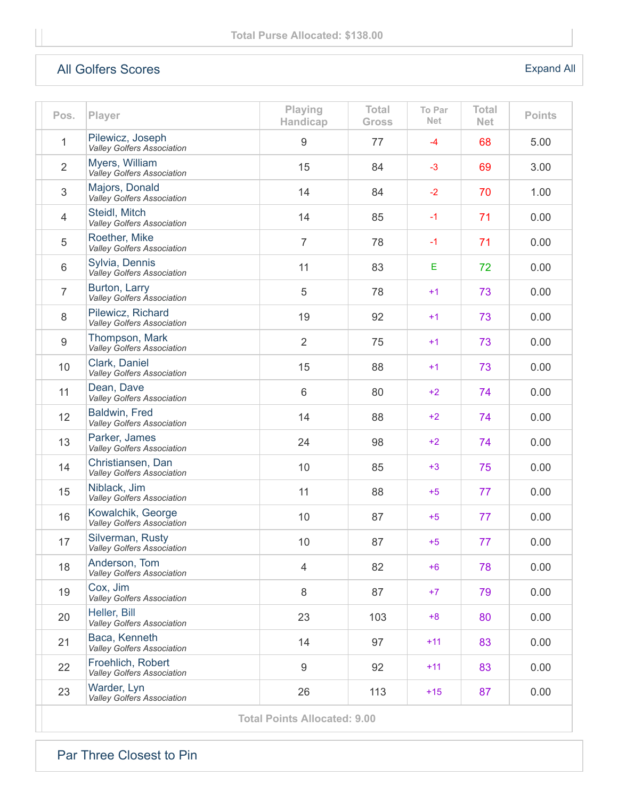## [All Golfers Scores](https://vga-valleygolfersassociation22.golfgenius.com/v2tournaments/8021774441300132246?player_stats_for_portal=true&round_index=16)

### [Expand All](https://vga-valleygolfersassociation22.golfgenius.com/tournaments2/details?adjusting=false&event_id=8021774441300132246)

| Pos.           | Player                                                 | Playing<br>Handicap | Total<br><b>Gross</b> | To Par<br><b>Net</b> | <b>Total</b><br><b>Net</b> | <b>Points</b> |
|----------------|--------------------------------------------------------|---------------------|-----------------------|----------------------|----------------------------|---------------|
| 1              | Pilewicz, Joseph<br><b>Valley Golfers Association</b>  | 9                   | 77                    | $-4$                 | 68                         | 5.00          |
| $\overline{2}$ | Myers, William<br>Valley Golfers Association           | 15                  | 84                    | $-3$                 | 69                         | 3.00          |
| 3              | Majors, Donald<br>Valley Golfers Association           | 14                  | 84                    | $-2$                 | 70                         | 1.00          |
| $\overline{4}$ | Steidl, Mitch<br><b>Valley Golfers Association</b>     | 14                  | 85                    | $-1$                 | 71                         | 0.00          |
| 5              | Roether, Mike<br><b>Valley Golfers Association</b>     | $\overline{7}$      | 78                    | $-1$                 | 71                         | 0.00          |
| 6              | Sylvia, Dennis<br>Valley Golfers Association           | 11                  | 83                    | E                    | 72                         | 0.00          |
| $\overline{7}$ | Burton, Larry<br><b>Valley Golfers Association</b>     | 5                   | 78                    | $+1$                 | 73                         | 0.00          |
| 8              | Pilewicz, Richard<br>Valley Golfers Association        | 19                  | 92                    | $+1$                 | 73                         | 0.00          |
| 9              | Thompson, Mark<br><b>Valley Golfers Association</b>    | $\overline{2}$      | 75                    | $+1$                 | 73                         | 0.00          |
| 10             | Clark, Daniel<br>Valley Golfers Association            | 15                  | 88                    | $+1$                 | 73                         | 0.00          |
| 11             | Dean, Dave<br><b>Valley Golfers Association</b>        | $6\phantom{1}$      | 80                    | $+2$                 | 74                         | 0.00          |
| 12             | Baldwin, Fred<br>Valley Golfers Association            | 14                  | 88                    | $+2$                 | 74                         | 0.00          |
| 13             | Parker, James<br>Valley Golfers Association            | 24                  | 98                    | $+2$                 | 74                         | 0.00          |
| 14             | Christiansen, Dan<br><b>Valley Golfers Association</b> | 10                  | 85                    | $+3$                 | 75                         | 0.00          |
| 15             | Niblack, Jim<br><b>Valley Golfers Association</b>      | 11                  | 88                    | $+5$                 | 77                         | 0.00          |
| 16             | Kowalchik, George<br>Valley Golfers Association        | 10                  | 87                    | $+5$                 | 77                         | 0.00          |
| 17             | Silverman, Rusty<br><b>Valley Golfers Association</b>  | 10                  | 87                    | $+5$                 | 77                         | 0.00          |
| 18             | Anderson, Tom<br><b>Valley Golfers Association</b>     | $\overline{4}$      | 82                    | $+6$                 | 78                         | 0.00          |
| 19             | Cox, Jim<br><b>Valley Golfers Association</b>          | 8                   | 87                    | $+7$                 | 79                         | 0.00          |
| 20             | Heller, Bill<br><b>Valley Golfers Association</b>      | 23                  | 103                   | $+8$                 | 80                         | 0.00          |
| 21             | Baca, Kenneth<br><b>Valley Golfers Association</b>     | 14                  | 97                    | $+11$                | 83                         | 0.00          |
| 22             | Froehlich, Robert<br><b>Valley Golfers Association</b> | $\boldsymbol{9}$    | 92                    | $+11$                | 83                         | 0.00          |
| 23             | Warder, Lyn<br>Valley Golfers Association              | 26                  | 113                   | $+15$                | 87                         | 0.00          |
|                | <b>Total Points Allocated: 9.00</b>                    |                     |                       |                      |                            |               |

[Par Three Closest to Pin](https://vga-valleygolfersassociation22.golfgenius.com/v2tournaments/8021774404423811475?player_stats_for_portal=true&round_index=16)